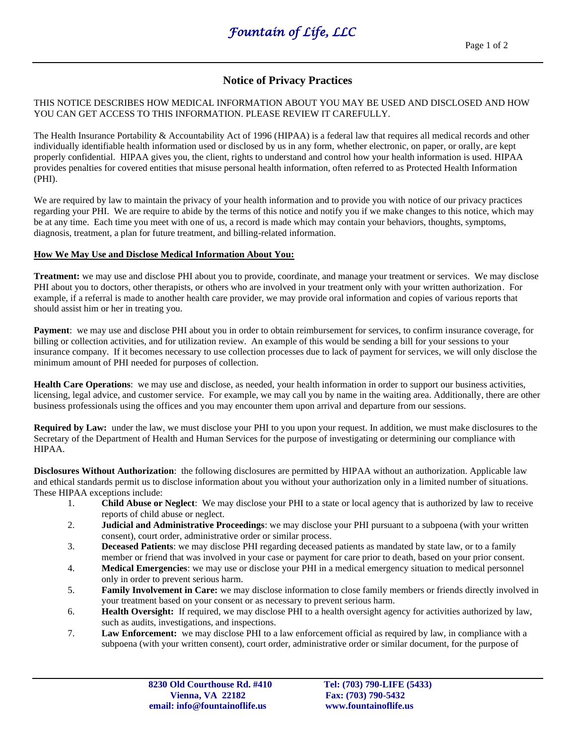## **Notice of Privacy Practices**

THIS NOTICE DESCRIBES HOW MEDICAL INFORMATION ABOUT YOU MAY BE USED AND DISCLOSED AND HOW YOU CAN GET ACCESS TO THIS INFORMATION. PLEASE REVIEW IT CAREFULLY.

The Health Insurance Portability & Accountability Act of 1996 (HIPAA) is a federal law that requires all medical records and other individually identifiable health information used or disclosed by us in any form, whether electronic, on paper, or orally, are kept properly confidential. HIPAA gives you, the client, rights to understand and control how your health information is used. HIPAA provides penalties for covered entities that misuse personal health information, often referred to as Protected Health Information (PHI).

We are required by law to maintain the privacy of your health information and to provide you with notice of our privacy practices regarding your PHI. We are require to abide by the terms of this notice and notify you if we make changes to this notice, which may be at any time. Each time you meet with one of us, a record is made which may contain your behaviors, thoughts, symptoms, diagnosis, treatment, a plan for future treatment, and billing-related information.

## **How We May Use and Disclose Medical Information About You:**

**Treatment:** we may use and disclose PHI about you to provide, coordinate, and manage your treatment or services. We may disclose PHI about you to doctors, other therapists, or others who are involved in your treatment only with your written authorization. For example, if a referral is made to another health care provider, we may provide oral information and copies of various reports that should assist him or her in treating you.

**Payment**: we may use and disclose PHI about you in order to obtain reimbursement for services, to confirm insurance coverage, for billing or collection activities, and for utilization review. An example of this would be sending a bill for your sessions to your insurance company. If it becomes necessary to use collection processes due to lack of payment for services, we will only disclose the minimum amount of PHI needed for purposes of collection.

**Health Care Operations**: we may use and disclose, as needed, your health information in order to support our business activities, licensing, legal advice, and customer service. For example, we may call you by name in the waiting area. Additionally, there are other business professionals using the offices and you may encounter them upon arrival and departure from our sessions.

**Required by Law:** under the law, we must disclose your PHI to you upon your request. In addition, we must make disclosures to the Secretary of the Department of Health and Human Services for the purpose of investigating or determining our compliance with HIPAA.

**Disclosures Without Authorization**: the following disclosures are permitted by HIPAA without an authorization. Applicable law and ethical standards permit us to disclose information about you without your authorization only in a limited number of situations. These HIPAA exceptions include:

- 1. **Child Abuse or Neglect**: We may disclose your PHI to a state or local agency that is authorized by law to receive reports of child abuse or neglect.
- 2. **Judicial and Administrative Proceedings**: we may disclose your PHI pursuant to a subpoena (with your written consent), court order, administrative order or similar process.
- 3. **Deceased Patients**: we may disclose PHI regarding deceased patients as mandated by state law, or to a family member or friend that was involved in your case or payment for care prior to death, based on your prior consent.
- 4. **Medical Emergencies**: we may use or disclose your PHI in a medical emergency situation to medical personnel only in order to prevent serious harm.
- 5. **Family Involvement in Care:** we may disclose information to close family members or friends directly involved in your treatment based on your consent or as necessary to prevent serious harm.
- 6. **Health Oversight:** If required, we may disclose PHI to a health oversight agency for activities authorized by law, such as audits, investigations, and inspections.
- 7. **Law Enforcement:** we may disclose PHI to a law enforcement official as required by law, in compliance with a subpoena (with your written consent), court order, administrative order or similar document, for the purpose of